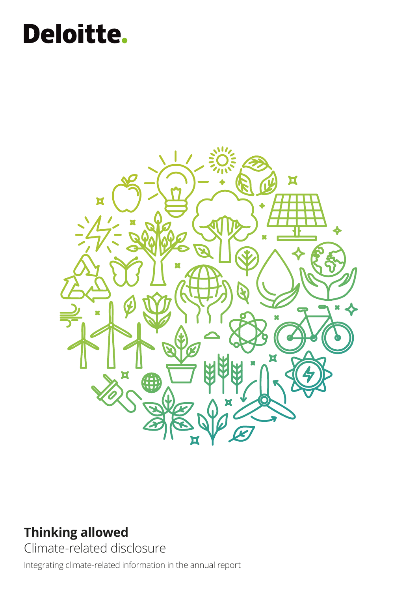# Deloitte.



### **Thinking allowed**

Climate-related disclosure

Integrating climate-related information in the annual report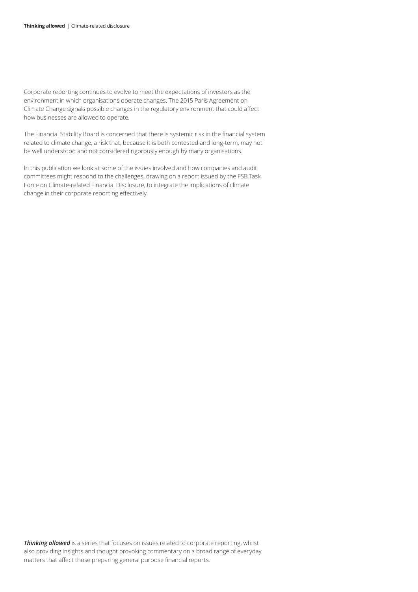Corporate reporting continues to evolve to meet the expectations of investors as the environment in which organisations operate changes. The 2015 Paris Agreement on Climate Change signals possible changes in the regulatory environment that could affect how businesses are allowed to operate.

The Financial Stability Board is concerned that there is systemic risk in the financial system related to climate change, a risk that, because it is both contested and long-term, may not be well understood and not considered rigorously enough by many organisations.

In this publication we look at some of the issues involved and how companies and audit committees might respond to the challenges, drawing on a report issued by the FSB Task Force on Climate-related Financial Disclosure, to integrate the implications of climate change in their corporate reporting effectively.

**Thinking allowed** is a series that focuses on issues related to corporate reporting, whilst also providing insights and thought provoking commentary on a broad range of everyday matters that affect those preparing general purpose financial reports.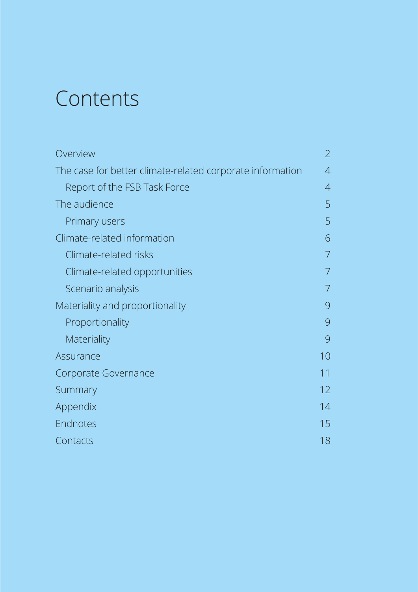## Contents

| Overview                                                  | $\overline{2}$ |
|-----------------------------------------------------------|----------------|
| The case for better climate-related corporate information | 4              |
| Report of the FSB Task Force                              | $\overline{4}$ |
| The audience                                              | 5              |
| Primary users                                             | 5              |
| Climate-related information                               | 6              |
| Climate-related risks                                     | 7              |
| Climate-related opportunities                             |                |
| Scenario analysis                                         |                |
| Materiality and proportionality                           | 9              |
| Proportionality                                           | 9              |
| Materiality                                               | 9              |
| Assurance                                                 | 10             |
| Corporate Governance                                      | 11             |
| Summary                                                   | 12             |
| Appendix                                                  | 14             |
| Endnotes                                                  | 15             |
| Contacts                                                  | 18             |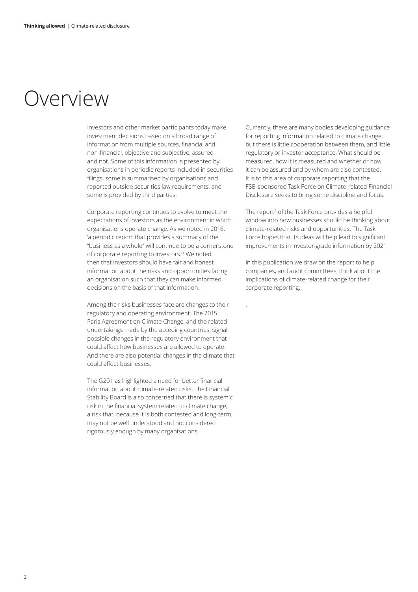### Overview

Investors and other market participants today make investment decisions based on a broad range of information from multiple sources, financial and non‑financial, objective and subjective, assured and not. Some of this information is presented by organisations in periodic reports included in securities filings, some is summarised by organisations and reported outside securities law requirements, and some is provided by third parties.

Corporate reporting continues to evolve to meet the expectations of investors as the environment in which organisations operate change. As we noted in 2016, 'a periodic report that provides a summary of the "business as a whole" will continue to be a cornerstone of corporate reporting to investors.'1 We noted then that investors should have fair and honest information about the risks and opportunities facing an organisation such that they can make informed decisions on the basis of that information.

Among the risks businesses face are changes to their regulatory and operating environment. The 2015 Paris Agreement on Climate Change, and the related undertakings made by the acceding countries, signal possible changes in the regulatory environment that could affect how businesses are allowed to operate. And there are also potential changes in the climate that could affect businesses.

The G20 has highlighted a need for better financial information about climate-related risks. The Financial Stability Board is also concerned that there is systemic risk in the financial system related to climate change, a risk that, because it is both contested and long-term, may not be well understood and not considered rigorously enough by many organisations.

Currently, there are many bodies developing guidance for reporting information related to climate change, but there is little cooperation between them, and little regulatory or investor acceptance. What should be measured, how it is measured and whether or how it can be assured and by whom are also contested. It is to this area of corporate reporting that the FSB-sponsored Task Force on Climate-related Financial Disclosure seeks to bring some discipline and focus.

The report<sup>2</sup> of the Task Force provides a helpful window into how businesses should be thinking about climate‑related risks and opportunities. The Task Force hopes that its ideas will help lead to significant improvements in investor‑grade information by 2021.

In this publication we draw on the report to help companies, and audit committees, think about the implications of climate-related change for their corporate reporting.

.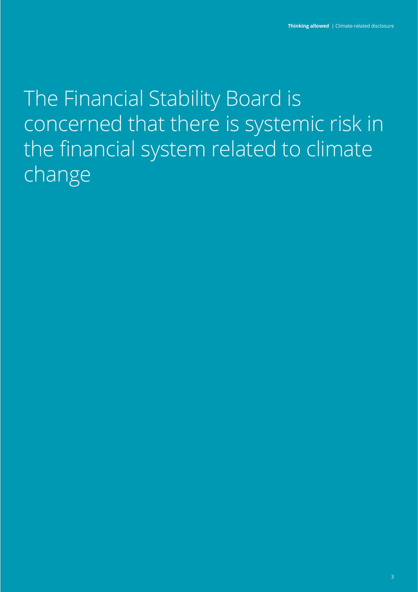The Financial Stability Board is concerned that there is systemic risk in the financial system related to climate change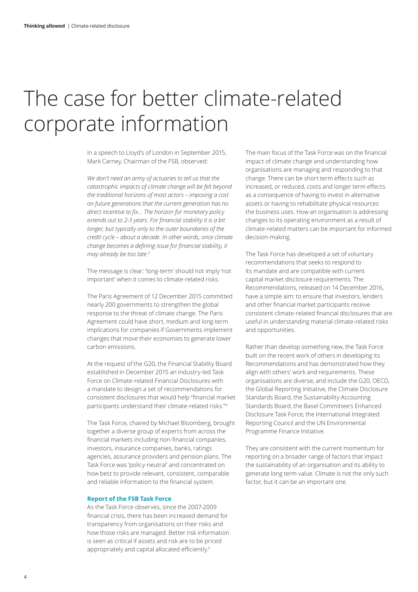## The case for better climate-related corporate information

In a speech to Lloyd's of London in September 2015, Mark Carney, Chairman of the FSB, observed:

*We don't need an army of actuaries to tell us that the catastrophic impacts of climate change will be felt beyond the traditional horizons of most actors – imposing a cost on future generations that the current generation has no direct incentive to fix… The horizon for monetary policy extends out to 2-3 years. For financial stability it is a bit longer, but typically only to the outer boundaries of the credit cycle – about a decade. In other words, once climate change becomes a defining issue for financial stability, it may already be too late.3*

The message is clear: 'long-term' should not imply 'not important' when it comes to climate-related risks.

The Paris Agreement of 12 December 2015 committed nearly 200 governments to strengthen the global response to the threat of climate change. The Paris Agreement could have short, medium and long-term implications for companies if Governments implement changes that move their economies to generate lower carbon emissions.

At the request of the G20, the Financial Stability Board established in December 2015 an industry-led Task Force on Climate-related Financial Disclosures with a mandate to design a set of recommendations for consistent disclosures that would help "financial market participants understand their climate-related risks."<sup>4</sup>

The Task Force, chaired by Michael Bloomberg, brought together a diverse group of experts from across the financial markets including non-financial companies, investors, insurance companies, banks, ratings agencies, assurance providers and pension plans. The Task Force was 'policy-neutral' and concentrated on how best to provide relevant, consistent, comparable and reliable information to the financial system.

#### **Report of the FSB Task Force**

As the Task Force observes, since the 2007-2009 financial crisis, there has been increased demand for transparency from organisations on their risks and how those risks are managed. Better risk information is seen as critical if assets and risk are to be priced appropriately and capital allocated efficiently.<sup>5</sup>

The main focus of the Task Force was on the financial impact of climate change and understanding how organisations are managing and responding to that change. There can be short term effects such as increased, or reduced, costs and longer term effects as a consequence of having to invest in alternative assets or having to rehabilitate physical resources the business uses. How an organisation is addressing changes to its operating environment as a result of climate-related matters can be important for informed decision-making.

The Task Force has developed a set of voluntary recommendations that seeks to respond to its mandate and are compatible with current capital market disclosure requirements. The Recommendations, released on 14 December 2016, have a simple aim: to ensure that investors, lenders and other financial market participants receive consistent climate-related financial disclosures that are useful in understanding material climate-related risks and opportunities.

Rather than develop something new, the Task Force built on the recent work of others in developing its Recommendations and has demonstrated how they align with others' work and requirements. These organisations are diverse, and include the G20, OECD, the Global Reporting Initiative, the Climate Disclosure Standards Board, the Sustainability Accounting Standards Board, the Basel Committee's Enhanced Disclosure Task Force, the International Integrated Reporting Council and the UN Environmental Programme Finance Initiative.

They are consistent with the current momentum for reporting on a broader range of factors that impact the sustainability of an organisation and its ability to generate long term value. Climate is not the only such factor, but it can be an important one.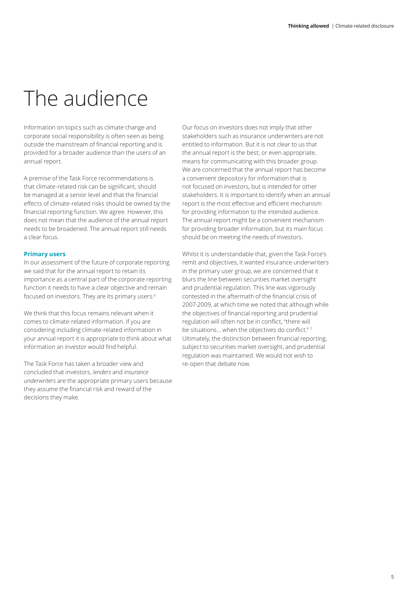# The audience

Information on topics such as climate change and corporate social responsibility is often seen as being outside the mainstream of financial reporting and is provided for a broader audience than the users of an annual report.

A premise of the Task Force recommendations is that climate-related risk can be significant, should be managed at a senior level and that the financial effects of climate-related risks should be owned by the financial reporting function. We agree. However, this does not mean that the audience of the annual report needs to be broadened. The annual report still needs a clear focus.

#### **Primary users**

In our assessment of the future of corporate reporting we said that for the annual report to retain its importance as a central part of the corporate reporting function it needs to have a clear objective and remain focused on investors. They are its primary users.<sup>6</sup>

We think that this focus remains relevant when it comes to climate-related information. If you are considering including climate-related information in your annual report it is appropriate to think about what information an investor would find helpful.

The Task Force has taken a broader view and concluded that investors, *lenders* and *insurance underwriters* are the appropriate primary users because they assume the financial risk and reward of the decisions they make.

Our focus on investors does not imply that other stakeholders such as insurance underwriters are not entitled to information. But it is not clear to us that the annual report is the best, or even appropriate, means for communicating with this broader group. We are concerned that the annual report has become a convenient depository for information that is not focused on investors, but is intended for other stakeholders. It is important to identify when an annual report is the most effective and efficient mechanism for providing information to the intended audience. The annual report might be a convenient mechanism for providing broader information, but its main focus should be on meeting the needs of investors.

Whilst it is understandable that, given the Task Force's remit and objectives, it wanted insurance underwriters in the primary user group, we are concerned that it blurs the line between securities market oversight and prudential regulation. This line was vigorously contested in the aftermath of the financial crisis of 2007-2009, at which time we noted that although while the objectives of financial reporting and prudential regulation will often not be in conflict, "there will be situations... when the objectives do conflict."<sup>7</sup> Ultimately, the distinction between financial reporting, subject to securities market oversight, and prudential regulation was maintained. We would not wish to re-open that debate now.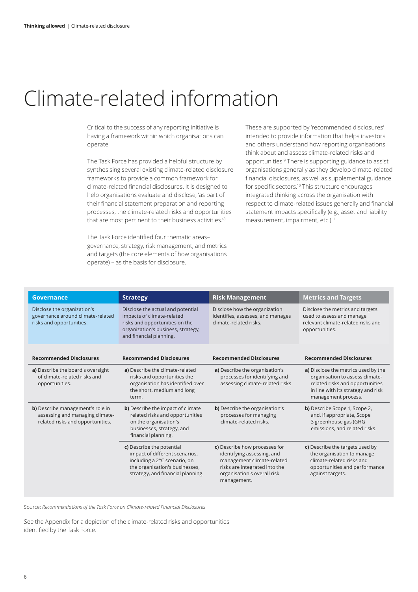### Climate-related information

Critical to the success of any reporting initiative is having a framework within which organisations can operate.

The Task Force has provided a helpful structure by synthesising several existing climate-related disclosure frameworks to provide a common framework for climate‑related financial disclosures. It is designed to help organisations evaluate and disclose, 'as part of their financial statement preparation and reporting processes, the climate-related risks and opportunities that are most pertinent to their business activities.'8

The Task Force identified four thematic areas– governance, strategy, risk management, and metrics and targets (the core elements of how organisations operate) – as the basis for disclosure.

These are supported by 'recommended disclosures' intended to provide information that helps investors and others understand how reporting organisations think about and assess climate-related risks and opportunities.9 There is supporting guidance to assist organisations generally as they develop climate-related financial disclosures, as well as supplemental guidance for specific sectors.<sup>10</sup> This structure encourages integrated thinking across the organisation with respect to climate‑related issues generally and financial statement impacts specifically (e.g., asset and liability measurement, impairment, etc.).<sup>11</sup>

| <b>Governance</b>                                                                                       | <b>Strategy</b>                                                                                                                                                    | <b>Risk Management</b>                                                                                                                                                   | <b>Metrics and Targets</b>                                                                                                                                             |
|---------------------------------------------------------------------------------------------------------|--------------------------------------------------------------------------------------------------------------------------------------------------------------------|--------------------------------------------------------------------------------------------------------------------------------------------------------------------------|------------------------------------------------------------------------------------------------------------------------------------------------------------------------|
| Disclose the organization's<br>governance around climate-related<br>risks and opportunities.            | Disclose the actual and potential<br>impacts of climate-related<br>risks and opportunities on the<br>organization's business, strategy,<br>and financial planning. | Disclose how the organization<br>identifies, assesses, and manages<br>climate-related risks.                                                                             | Disclose the metrics and targets<br>used to assess and manage<br>relevant climate-related risks and<br>opportunities.                                                  |
| <b>Recommended Disclosures</b>                                                                          | <b>Recommended Disclosures</b>                                                                                                                                     | <b>Recommended Disclosures</b>                                                                                                                                           | <b>Recommended Disclosures</b>                                                                                                                                         |
| a) Describe the board's oversight<br>of climate-related risks and<br>opportunities.                     | a) Describe the climate-related<br>risks and opportunities the<br>organisation has identified over<br>the short, medium and long<br>term.                          | a) Describe the organisation's<br>processes for identifying and<br>assessing climate-related risks.                                                                      | a) Disclose the metrics used by the<br>organisation to assess climate-<br>related risks and opportunities<br>in line with its strategy and risk<br>management process. |
| b) Describe management's role in<br>assessing and managing climate-<br>related risks and opportunities. | b) Describe the impact of climate<br>related risks and opportunities<br>on the organisation's<br>businesses, strategy, and<br>financial planning.                  | <b>b)</b> Describe the organisation's<br>processes for managing<br>climate-related risks.                                                                                | b) Describe Scope 1, Scope 2,<br>and, if appropriate, Scope<br>3 greenhouse gas (GHG<br>emissions, and related risks.                                                  |
|                                                                                                         | c) Describe the potential<br>impact of different scenarios,<br>including a 2°C scenario, on<br>the organisation's businesses,<br>strategy, and financial planning. | c) Describe how processes for<br>identifying assessing, and<br>management climate-related<br>risks are integrated into the<br>organisation's overall risk<br>management. | c) Describe the targets used by<br>the organisation to manage<br>climate-related risks and<br>opportunities and performance<br>against targets.                        |

Source: *Recommendations of the Task Force on Climate-related Financial Disclosures*

See the Appendix for a depiction of the climate-related risks and opportunities identified by the Task Force.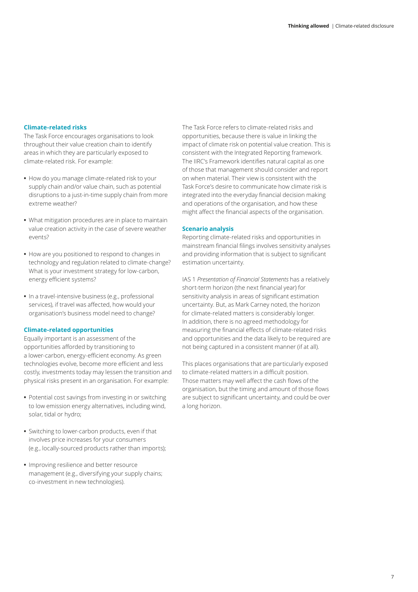#### **Climate‑related risks**

The Task Force encourages organisations to look throughout their value creation chain to identify areas in which they are particularly exposed to climate‑related risk. For example:

- **•** How do you manage climate-related risk to your supply chain and/or value chain, such as potential disruptions to a just-in-time supply chain from more extreme weather?
- **•** What mitigation procedures are in place to maintain value creation activity in the case of severe weather events?
- **•** How are you positioned to respond to changes in technology and regulation related to climate-change? What is your investment strategy for low-carbon, energy efficient systems?
- **•** In a travel‑intensive business (e.g., professional services), if travel was affected, how would your organisation's business model need to change?

#### **Climate‑related opportunities**

Equally important is an assessment of the opportunities afforded by transitioning to a lower‑carbon, energy‑efficient economy. As green technologies evolve, become more efficient and less costly, investments today may lessen the transition and physical risks present in an organisation. For example:

- **•** Potential cost savings from investing in or switching to low emission energy alternatives, including wind, solar, tidal or hydro;
- **•** Switching to lower-carbon products, even if that involves price increases for your consumers (e.g., locally‑sourced products rather than imports);
- **•** Improving resilience and better resource management (e.g., diversifying your supply chains; co-investment in new technologies).

The Task Force refers to climate-related risks and opportunities, because there is value in linking the impact of climate risk on potential value creation. This is consistent with the Integrated Reporting framework. The IIRC's Framework identifies natural capital as one of those that management should consider and report on when material. Their view is consistent with the Task Force's desire to communicate how climate risk is integrated into the everyday financial decision making and operations of the organisation, and how these might affect the financial aspects of the organisation.

#### **Scenario analysis**

Reporting climate-related risks and opportunities in mainstream financial filings involves sensitivity analyses and providing information that is subject to significant estimation uncertainty.

IAS 1 *Presentation of Financial Statements* has a relatively short-term horizon (the next financial year) for sensitivity analysis in areas of significant estimation uncertainty. But, as Mark Carney noted, the horizon for climate-related matters is considerably longer. In addition, there is no agreed methodology for measuring the financial effects of climate‑related risks and opportunities and the data likely to be required are not being captured in a consistent manner (if at all).

This places organisations that are particularly exposed to climate‑related matters in a difficult position. Those matters may well affect the cash flows of the organisation, but the timing and amount of those flows are subject to significant uncertainty, and could be over a long horizon.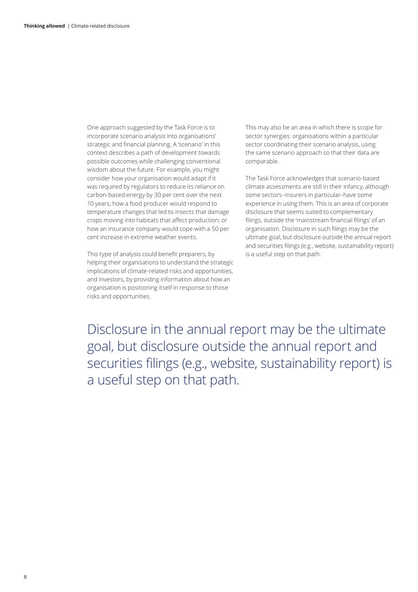One approach suggested by the Task Force is to incorporate scenario analysis into organisations' strategic and financial planning. A 'scenario' in this context describes a path of development towards possible outcomes while challenging conventional wisdom about the future. For example, you might consider how your organisation would adapt if it was required by regulators to reduce its reliance on carbon-based energy by 30 per cent over the next 10 years; how a food producer would respond to temperature changes that led to insects that damage crops moving into habitats that affect production; or how an insurance company would cope with a 50 per cent increase in extreme weather events.

This type of analysis could benefit preparers, by helping their organisations to understand the strategic implications of climate-related risks and opportunities, and investors, by providing information about how an organisation is positioning itself in response to those risks and opportunities.

This may also be an area in which there is scope for sector synergies: organisations within a particular sector coordinating their scenario analysis, using the same scenario approach so that their data are comparable.

The Task Force acknowledges that scenario-based climate assessments are still in their infancy, although some sectors–insurers in particular–have some experience in using them. This is an area of corporate disclosure that seems suited to complementary filings, outside the 'mainstream financial filings' of an organisation. Disclosure in such filings may be the ultimate goal, but disclosure outside the annual report and securities filings (e.g., website, sustainability report) is a useful step on that path.

Disclosure in the annual report may be the ultimate goal, but disclosure outside the annual report and securities filings (e.g., website, sustainability report) is a useful step on that path.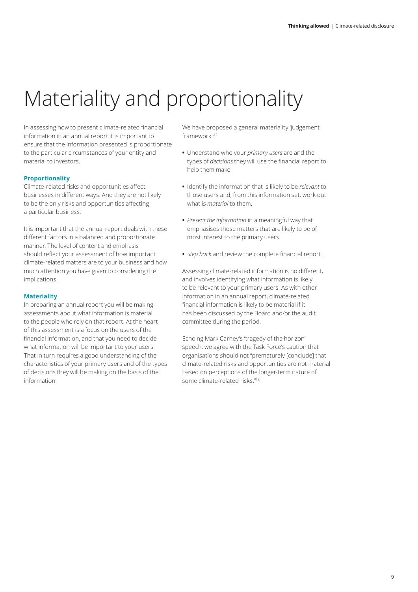# Materiality and proportionality

In assessing how to present climate‑related financial information in an annual report it is important to ensure that the information presented is proportionate to the particular circumstances of your entity and material to investors.

#### **Proportionality**

Climate‑related risks and opportunities affect businesses in different ways. And they are not likely to be the only risks and opportunities affecting a particular business.

It is important that the annual report deals with these different factors in a balanced and proportionate manner. The level of content and emphasis should reflect your assessment of how important climate-related matters are to your business and how much attention you have given to considering the implications.

#### **Materiality**

In preparing an annual report you will be making assessments about what information is material to the people who rely on that report. At the heart of this assessment is a focus on the users of the financial information, and that you need to decide what information will be important to your users. That in turn requires a good understanding of the characteristics of your primary users and of the types of decisions they will be making on the basis of the information.

We have proposed a general materiality 'judgement framework':12

- **•** Understand who your *primary users* are and the types of *decisions* they will use the financial report to help them make.
- **•** Identify the information that is likely to be *relevant* to those users and, from this information set, work out what is *material* to them.
- **•** *Present the information* in a meaningful way that emphasises those matters that are likely to be of most interest to the primary users.
- **•** *Step back* and review the complete financial report.

Assessing climate‑related information is no different, and involves identifying what information is likely to be relevant to your primary users. As with other information in an annual report, climate-related financial information is likely to be material if it has been discussed by the Board and/or the audit committee during the period.

Echoing Mark Carney's 'tragedy of the horizon' speech, we agree with the Task Force's caution that organisations should not "prematurely [conclude] that climate-related risks and opportunities are not material based on perceptions of the longer-term nature of some climate-related risks."<sup>13</sup>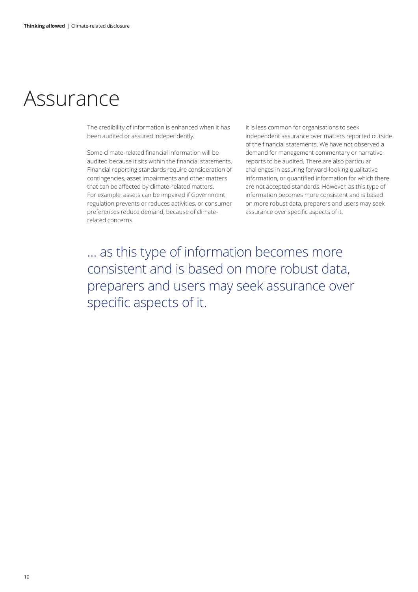### Assurance

The credibility of information is enhanced when it has been audited or assured independently.

Some climate-related financial information will be audited because it sits within the financial statements. Financial reporting standards require consideration of contingencies, asset impairments and other matters that can be affected by climate-related matters. For example, assets can be impaired if Government regulation prevents or reduces activities, or consumer preferences reduce demand, because of climaterelated concerns.

It is less common for organisations to seek independent assurance over matters reported outside of the financial statements. We have not observed a demand for management commentary or narrative reports to be audited. There are also particular challenges in assuring forward-looking qualitative information, or quantified information for which there are not accepted standards. However, as this type of information becomes more consistent and is based on more robust data, preparers and users may seek assurance over specific aspects of it.

… as this type of information becomes more consistent and is based on more robust data, preparers and users may seek assurance over specific aspects of it.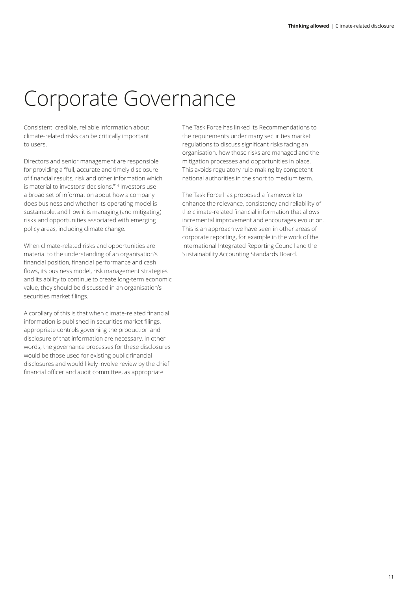### Corporate Governance

Consistent, credible, reliable information about climate-related risks can be critically important to users.

Directors and senior management are responsible for providing a "full, accurate and timely disclosure of financial results, risk and other information which is material to investors' decisions."14 Investors use a broad set of information about how a company does business and whether its operating model is sustainable, and how it is managing (and mitigating) risks and opportunities associated with emerging policy areas, including climate change.

When climate-related risks and opportunities are material to the understanding of an organisation's financial position, financial performance and cash flows, its business model, risk management strategies and its ability to continue to create long-term economic value, they should be discussed in an organisation's securities market filings.

A corollary of this is that when climate‑related financial information is published in securities market filings, appropriate controls governing the production and disclosure of that information are necessary. In other words, the governance processes for these disclosures would be those used for existing public financial disclosures and would likely involve review by the chief financial officer and audit committee, as appropriate.

The Task Force has linked its Recommendations to the requirements under many securities market regulations to discuss significant risks facing an organisation, how those risks are managed and the mitigation processes and opportunities in place. This avoids regulatory rule‑making by competent national authorities in the short to medium term.

The Task Force has proposed a framework to enhance the relevance, consistency and reliability of the climate‑related financial information that allows incremental improvement and encourages evolution. This is an approach we have seen in other areas of corporate reporting, for example in the work of the International Integrated Reporting Council and the Sustainability Accounting Standards Board.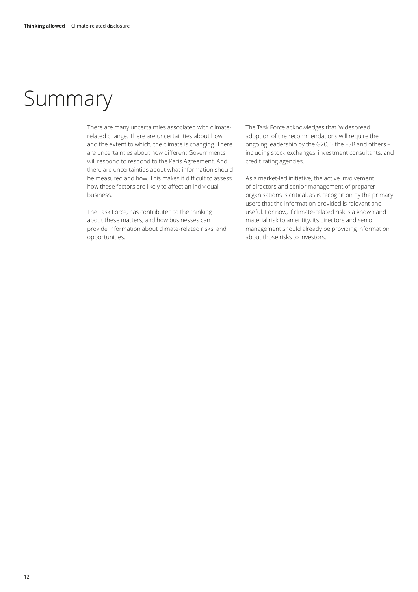### Summary

There are many uncertainties associated with climaterelated change. There are uncertainties about how, and the extent to which, the climate is changing. There are uncertainties about how different Governments will respond to respond to the Paris Agreement. And there are uncertainties about what information should be measured and how. This makes it difficult to assess how these factors are likely to affect an individual business.

The Task Force, has contributed to the thinking about these matters, and how businesses can provide information about climate-related risks, and opportunities.

The Task Force acknowledges that 'widespread adoption of the recommendations will require the ongoing leadership by the G20,'15 the FSB and others – including stock exchanges, investment consultants, and credit rating agencies.

As a market-led initiative, the active involvement of directors and senior management of preparer organisations is critical, as is recognition by the primary users that the information provided is relevant and useful. For now, if climate-related risk is a known and material risk to an entity, its directors and senior management should already be providing information about those risks to investors.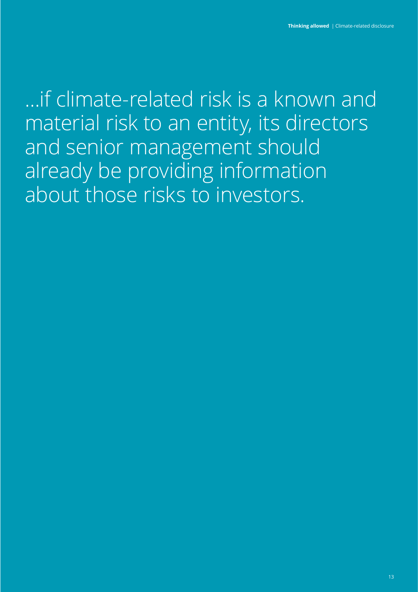…if climate-related risk is a known and material risk to an entity, its directors and senior management should already be providing information about those risks to investors.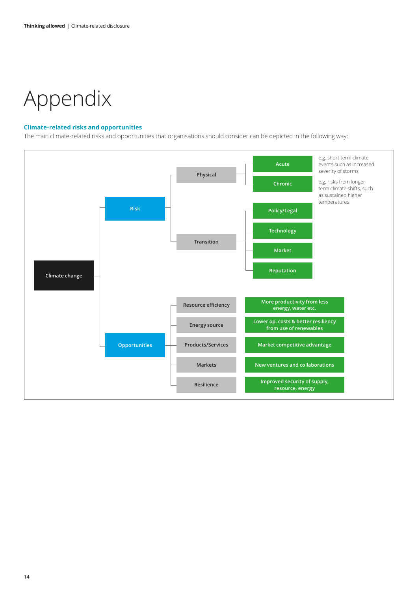# Appendix

#### **Climate-related risks and opportunities**

The main climate-related risks and opportunities that organisations should consider can be depicted in the following way:

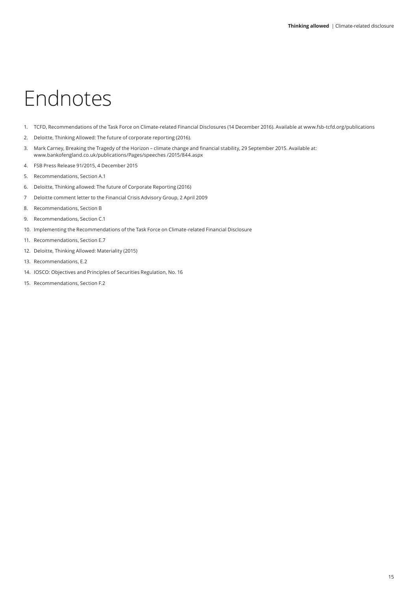# Endnotes

- 1. TCFD, Recommendations of the Task Force on Climate-related Financial Disclosures (14 December 2016). Available at www.fsb-tcfd.org/publications
- 2. Deloitte, Thinking Allowed: The future of corporate reporting (2016).
- 3. Mark Carney, Breaking the Tragedy of the Horizon climate change and financial stability, 29 September 2015. Available at: www.bankofengland.co.uk/publications/Pages/speeches /2015/844.aspx
- 4. FSB Press Release 91/2015, 4 December 2015
- 5. Recommendations, Section A.1
- 6. Deloitte, Thinking allowed: The future of Corporate Reporting (2016)
- 7 Deloitte comment letter to the Financial Crisis Advisory Group, 2 April 2009
- 8. Recommendations, Section B
- 9. Recommendations, Section C.1
- 10. Implementing the Recommendations of the Task Force on Climate-related Financial Disclosure
- 11. Recommendations, Section E.7
- 12. Deloitte, Thinking Allowed: Materiality (2015)
- 13. Recommendations, E.2
- 14. IOSCO: Objectives and Principles of Securities Regulation, No. 16
- 15. Recommendations, Section F.2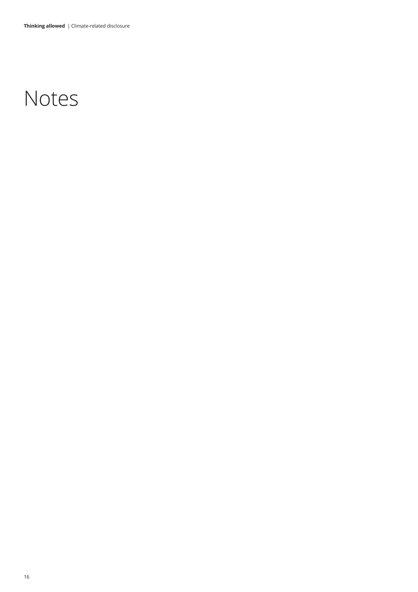## Notes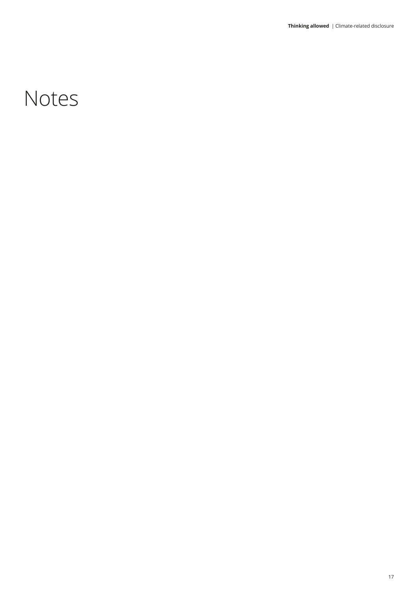## Notes